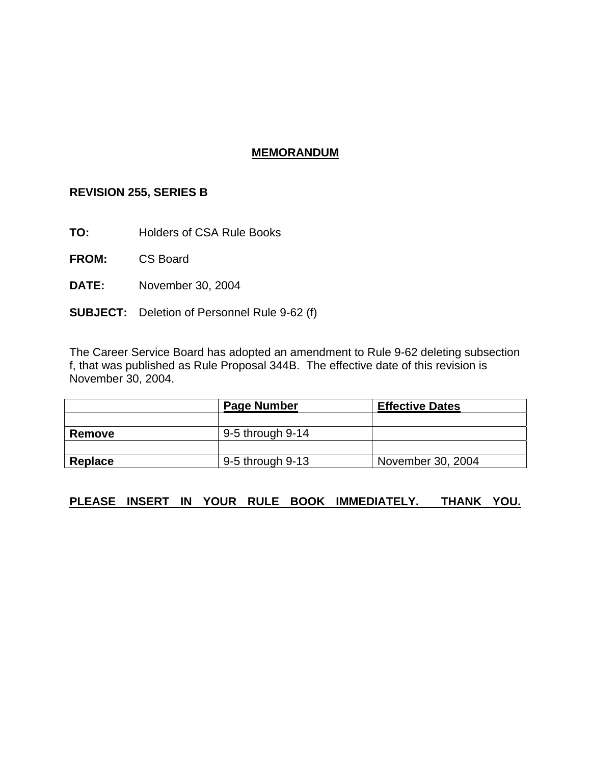## **MEMORANDUM**

# **REVISION 255, SERIES B**

**TO:** Holders of CSA Rule Books

**FROM:** CS Board

**DATE:** November 30, 2004

**SUBJECT:** Deletion of Personnel Rule 9-62 (f)

The Career Service Board has adopted an amendment to Rule 9-62 deleting subsection f, that was published as Rule Proposal 344B. The effective date of this revision is November 30, 2004.

|         | <b>Page Number</b> | <b>Effective Dates</b> |
|---------|--------------------|------------------------|
|         |                    |                        |
| Remove  | 9-5 through 9-14   |                        |
|         |                    |                        |
| Replace | 9-5 through 9-13   | November 30, 2004      |

## **PLEASE INSERT IN YOUR RULE BOOK IMMEDIATELY. THANK YOU.**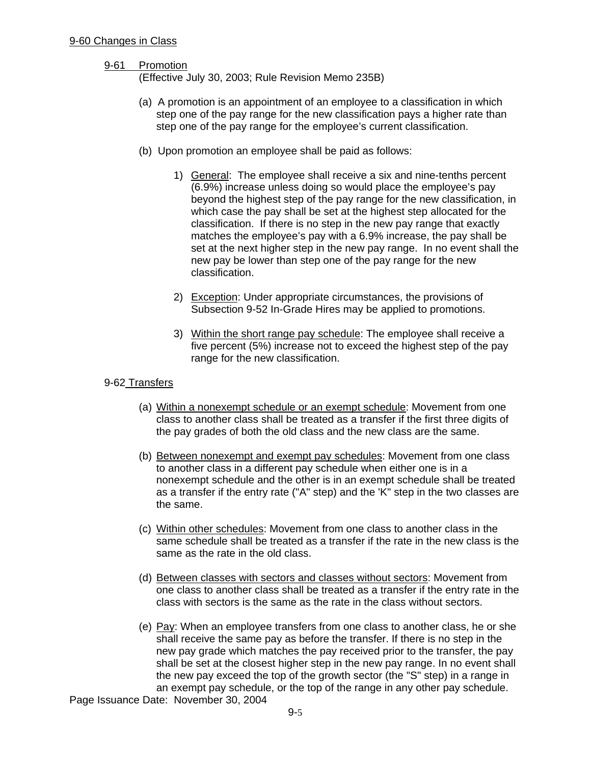#### 9-61 Promotion

(Effective July 30, 2003; Rule Revision Memo 235B)

- (a) A promotion is an appointment of an employee to a classification in which step one of the pay range for the new classification pays a higher rate than step one of the pay range for the employee's current classification.
- (b) Upon promotion an employee shall be paid as follows:
	- 1) General: The employee shall receive a six and nine-tenths percent (6.9%) increase unless doing so would place the employee's pay beyond the highest step of the pay range for the new classification, in which case the pay shall be set at the highest step allocated for the classification. If there is no step in the new pay range that exactly matches the employee's pay with a 6.9% increase, the pay shall be set at the next higher step in the new pay range. In no event shall the new pay be lower than step one of the pay range for the new classification.
	- 2) Exception: Under appropriate circumstances, the provisions of Subsection 9-52 In-Grade Hires may be applied to promotions.
	- 3) Within the short range pay schedule: The employee shall receive a five percent (5%) increase not to exceed the highest step of the pay range for the new classification.

#### 9-62 Transfers

- (a) Within a nonexempt schedule or an exempt schedule: Movement from one class to another class shall be treated as a transfer if the first three digits of the pay grades of both the old class and the new class are the same.
- (b) Between nonexempt and exempt pay schedules: Movement from one class to another class in a different pay schedule when either one is in a nonexempt schedule and the other is in an exempt schedule shall be treated as a transfer if the entry rate ("A" step) and the 'K" step in the two classes are the same.
- (c) Within other schedules: Movement from one class to another class in the same schedule shall be treated as a transfer if the rate in the new class is the same as the rate in the old class.
- (d) Between classes with sectors and classes without sectors: Movement from one class to another class shall be treated as a transfer if the entry rate in the class with sectors is the same as the rate in the class without sectors.
- (e) Pay: When an employee transfers from one class to another class, he or she shall receive the same pay as before the transfer. If there is no step in the new pay grade which matches the pay received prior to the transfer, the pay shall be set at the closest higher step in the new pay range. In no event shall the new pay exceed the top of the growth sector (the "S" step) in a range in an exempt pay schedule, or the top of the range in any other pay schedule.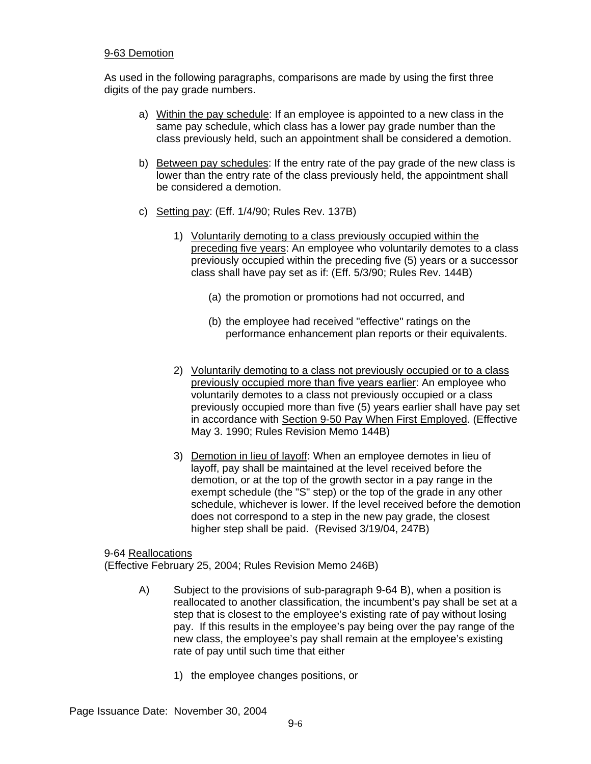#### 9-63 Demotion

As used in the following paragraphs, comparisons are made by using the first three digits of the pay grade numbers.

- a) Within the pay schedule: If an employee is appointed to a new class in the same pay schedule, which class has a lower pay grade number than the class previously held, such an appointment shall be considered a demotion.
- b) Between pay schedules: If the entry rate of the pay grade of the new class is lower than the entry rate of the class previously held, the appointment shall be considered a demotion.
- c) Setting pay: (Eff. 1/4/90; Rules Rev. 137B)
	- 1) Voluntarily demoting to a class previously occupied within the preceding five years: An employee who voluntarily demotes to a class previously occupied within the preceding five (5) years or a successor class shall have pay set as if: (Eff. 5/3/90; Rules Rev. 144B)
		- (a) the promotion or promotions had not occurred, and
		- (b) the employee had received "effective" ratings on the performance enhancement plan reports or their equivalents.
	- 2) Voluntarily demoting to a class not previously occupied or to a class previously occupied more than five years earlier: An employee who voluntarily demotes to a class not previously occupied or a class previously occupied more than five (5) years earlier shall have pay set in accordance with Section 9-50 Pay When First Employed. (Effective May 3. 1990; Rules Revision Memo 144B)
	- 3) Demotion in lieu of layoff: When an employee demotes in lieu of layoff, pay shall be maintained at the level received before the demotion, or at the top of the growth sector in a pay range in the exempt schedule (the "S" step) or the top of the grade in any other schedule, whichever is lower. If the level received before the demotion does not correspond to a step in the new pay grade, the closest higher step shall be paid. (Revised 3/19/04, 247B)

## 9-64 Reallocations

(Effective February 25, 2004; Rules Revision Memo 246B)

- A) Subject to the provisions of sub-paragraph 9-64 B), when a position is reallocated to another classification, the incumbent's pay shall be set at a step that is closest to the employee's existing rate of pay without losing pay. If this results in the employee's pay being over the pay range of the new class, the employee's pay shall remain at the employee's existing rate of pay until such time that either
	- 1) the employee changes positions, or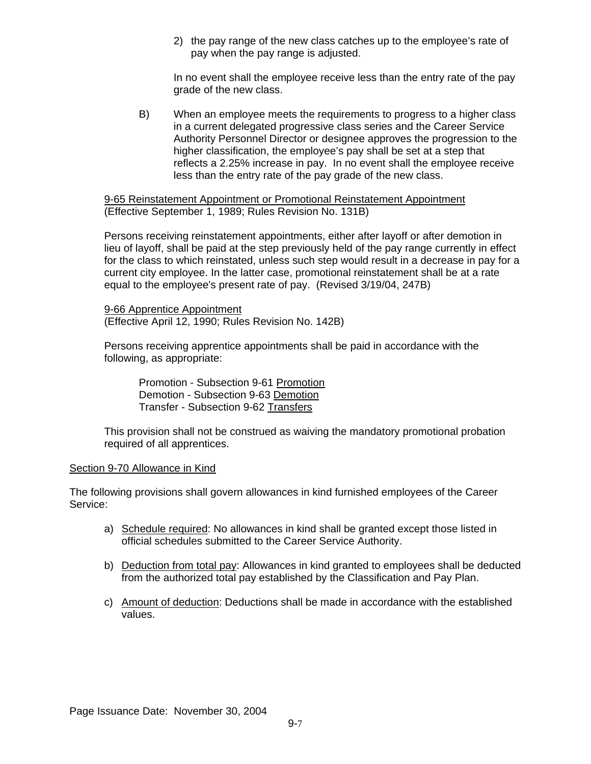2) the pay range of the new class catches up to the employee's rate of pay when the pay range is adjusted.

In no event shall the employee receive less than the entry rate of the pay grade of the new class.

B) When an employee meets the requirements to progress to a higher class in a current delegated progressive class series and the Career Service Authority Personnel Director or designee approves the progression to the higher classification, the employee's pay shall be set at a step that reflects a 2.25% increase in pay. In no event shall the employee receive less than the entry rate of the pay grade of the new class.

9-65 Reinstatement Appointment or Promotional Reinstatement Appointment (Effective September 1, 1989; Rules Revision No. 131B)

Persons receiving reinstatement appointments, either after layoff or after demotion in lieu of layoff, shall be paid at the step previously held of the pay range currently in effect for the class to which reinstated, unless such step would result in a decrease in pay for a current city employee. In the latter case, promotional reinstatement shall be at a rate equal to the employee's present rate of pay. (Revised 3/19/04, 247B)

9-66 Apprentice Appointment (Effective April 12, 1990; Rules Revision No. 142B)

Persons receiving apprentice appointments shall be paid in accordance with the following, as appropriate:

Promotion - Subsection 9-61 Promotion Demotion - Subsection 9-63 Demotion Transfer - Subsection 9-62 Transfers

This provision shall not be construed as waiving the mandatory promotional probation required of all apprentices.

#### Section 9-70 Allowance in Kind

The following provisions shall govern allowances in kind furnished employees of the Career Service:

- a) Schedule required: No allowances in kind shall be granted except those listed in official schedules submitted to the Career Service Authority.
- b) Deduction from total pay: Allowances in kind granted to employees shall be deducted from the authorized total pay established by the Classification and Pay Plan.
- c) Amount of deduction: Deductions shall be made in accordance with the established values.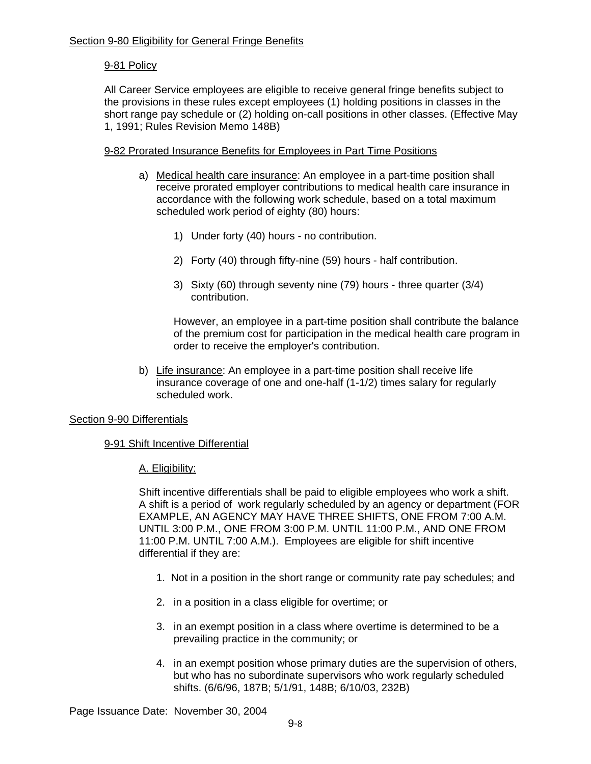## 9-81 Policy

All Career Service employees are eligible to receive general fringe benefits subject to the provisions in these rules except employees (1) holding positions in classes in the short range pay schedule or (2) holding on-call positions in other classes. (Effective May 1, 1991; Rules Revision Memo 148B)

### 9-82 Prorated Insurance Benefits for Employees in Part Time Positions

- a) Medical health care insurance: An employee in a part-time position shall receive prorated employer contributions to medical health care insurance in accordance with the following work schedule, based on a total maximum scheduled work period of eighty (80) hours:
	- 1) Under forty (40) hours no contribution.
	- 2) Forty (40) through fifty-nine (59) hours half contribution.
	- 3) Sixty (60) through seventy nine (79) hours three quarter (3/4) contribution.

However, an employee in a part-time position shall contribute the balance of the premium cost for participation in the medical health care program in order to receive the employer's contribution.

b) Life insurance: An employee in a part-time position shall receive life insurance coverage of one and one-half (1-1/2) times salary for regularly scheduled work.

#### Section 9-90 Differentials

#### 9-91 Shift Incentive Differential

A. Eligibility:

Shift incentive differentials shall be paid to eligible employees who work a shift. A shift is a period of work regularly scheduled by an agency or department (FOR EXAMPLE, AN AGENCY MAY HAVE THREE SHIFTS, ONE FROM 7:00 A.M. UNTIL 3:00 P.M., ONE FROM 3:00 P.M. UNTIL 11:00 P.M., AND ONE FROM 11:00 P.M. UNTIL 7:00 A.M.). Employees are eligible for shift incentive differential if they are:

- 1. Not in a position in the short range or community rate pay schedules; and
- 2. in a position in a class eligible for overtime; or
- 3. in an exempt position in a class where overtime is determined to be a prevailing practice in the community; or
- 4. in an exempt position whose primary duties are the supervision of others, but who has no subordinate supervisors who work regularly scheduled shifts. (6/6/96, 187B; 5/1/91, 148B; 6/10/03, 232B)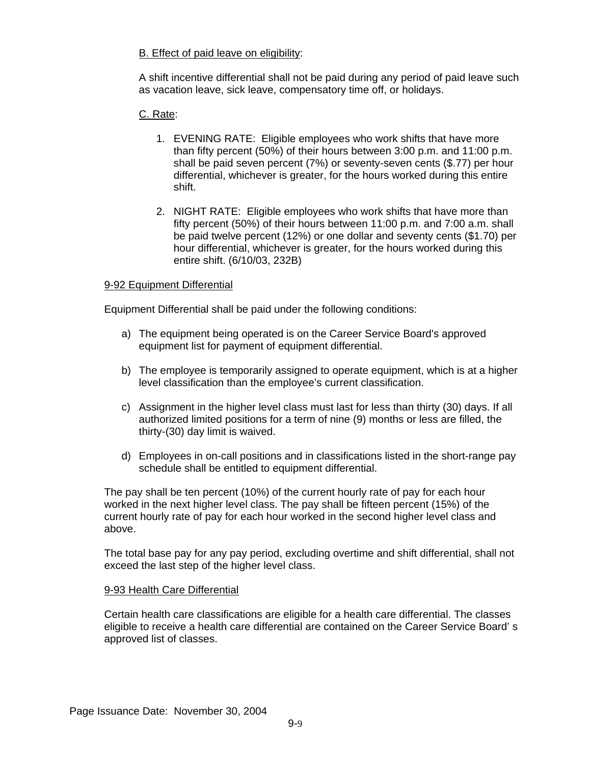## B. Effect of paid leave on eligibility:

A shift incentive differential shall not be paid during any period of paid leave such as vacation leave, sick leave, compensatory time off, or holidays.

## C. Rate:

- 1. EVENING RATE: Eligible employees who work shifts that have more than fifty percent (50%) of their hours between 3:00 p.m. and 11:00 p.m. shall be paid seven percent (7%) or seventy-seven cents (\$.77) per hour differential, whichever is greater, for the hours worked during this entire shift.
- 2. NIGHT RATE: Eligible employees who work shifts that have more than fifty percent (50%) of their hours between 11:00 p.m. and 7:00 a.m. shall be paid twelve percent (12%) or one dollar and seventy cents (\$1.70) per hour differential, whichever is greater, for the hours worked during this entire shift. (6/10/03, 232B)

## 9-92 Equipment Differential

Equipment Differential shall be paid under the following conditions:

- a) The equipment being operated is on the Career Service Board's approved equipment list for payment of equipment differential.
- b) The employee is temporarily assigned to operate equipment, which is at a higher level classification than the employee's current classification.
- c) Assignment in the higher level class must last for less than thirty (30) days. If all authorized limited positions for a term of nine (9) months or less are filled, the thirty-(30) day limit is waived.
- d) Employees in on-call positions and in classifications listed in the short-range pay schedule shall be entitled to equipment differential.

The pay shall be ten percent (10%) of the current hourly rate of pay for each hour worked in the next higher level class. The pay shall be fifteen percent (15%) of the current hourly rate of pay for each hour worked in the second higher level class and above.

The total base pay for any pay period, excluding overtime and shift differential, shall not exceed the last step of the higher level class.

#### 9-93 Health Care Differential

Certain health care classifications are eligible for a health care differential. The classes eligible to receive a health care differential are contained on the Career Service Board' s approved list of classes.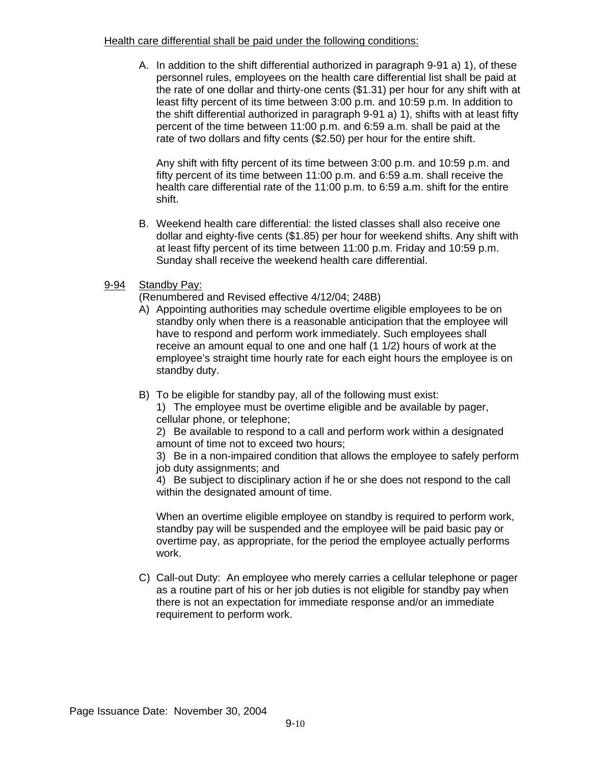### Health care differential shall be paid under the following conditions:

A. In addition to the shift differential authorized in paragraph 9-91 a) 1), of these personnel rules, employees on the health care differential list shall be paid at the rate of one dollar and thirty-one cents (\$1.31) per hour for any shift with at least fifty percent of its time between 3:00 p.m. and 10:59 p.m. In addition to the shift differential authorized in paragraph 9-91 a) 1), shifts with at least fifty percent of the time between 11:00 p.m. and 6:59 a.m. shall be paid at the rate of two dollars and fifty cents (\$2.50) per hour for the entire shift.

Any shift with fifty percent of its time between 3:00 p.m. and 10:59 p.m. and fifty percent of its time between 11:00 p.m. and 6:59 a.m. shall receive the health care differential rate of the 11:00 p.m. to 6:59 a.m. shift for the entire shift.

B. Weekend health care differential: the listed classes shall also receive one dollar and eighty-five cents (\$1.85) per hour for weekend shifts. Any shift with at least fifty percent of its time between 11:00 p.m. Friday and 10:59 p.m. Sunday shall receive the weekend health care differential.

## 9-94 Standby Pay:

(Renumbered and Revised effective 4/12/04; 248B)

- A) Appointing authorities may schedule overtime eligible employees to be on standby only when there is a reasonable anticipation that the employee will have to respond and perform work immediately. Such employees shall receive an amount equal to one and one half (1 1/2) hours of work at the employee's straight time hourly rate for each eight hours the employee is on standby duty.
- B) To be eligible for standby pay, all of the following must exist:

1) The employee must be overtime eligible and be available by pager, cellular phone, or telephone;

2) Be available to respond to a call and perform work within a designated amount of time not to exceed two hours;

3) Be in a non-impaired condition that allows the employee to safely perform job duty assignments; and

4) Be subject to disciplinary action if he or she does not respond to the call within the designated amount of time.

When an overtime eligible employee on standby is required to perform work, standby pay will be suspended and the employee will be paid basic pay or overtime pay, as appropriate, for the period the employee actually performs work.

C) Call-out Duty: An employee who merely carries a cellular telephone or pager as a routine part of his or her job duties is not eligible for standby pay when there is not an expectation for immediate response and/or an immediate requirement to perform work.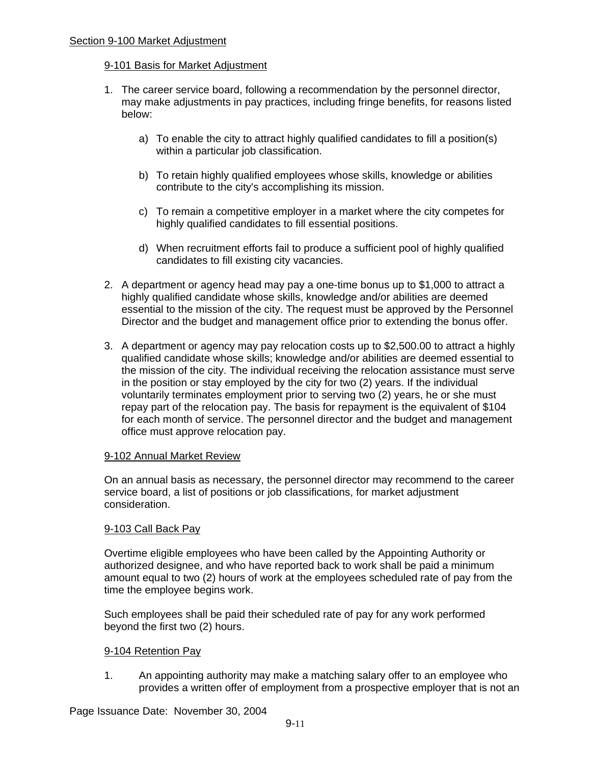### Section 9-100 Market Adjustment

### 9-101 Basis for Market Adjustment

- 1. The career service board, following a recommendation by the personnel director, may make adjustments in pay practices, including fringe benefits, for reasons listed below:
	- a) To enable the city to attract highly qualified candidates to fill a position(s) within a particular job classification.
	- b) To retain highly qualified employees whose skills, knowledge or abilities contribute to the city's accomplishing its mission.
	- c) To remain a competitive employer in a market where the city competes for highly qualified candidates to fill essential positions.
	- d) When recruitment efforts fail to produce a sufficient pool of highly qualified candidates to fill existing city vacancies.
- 2. A department or agency head may pay a one-time bonus up to \$1,000 to attract a highly qualified candidate whose skills, knowledge and/or abilities are deemed essential to the mission of the city. The request must be approved by the Personnel Director and the budget and management office prior to extending the bonus offer.
- 3. A department or agency may pay relocation costs up to \$2,500.00 to attract a highly qualified candidate whose skills; knowledge and/or abilities are deemed essential to the mission of the city. The individual receiving the relocation assistance must serve in the position or stay employed by the city for two (2) years. If the individual voluntarily terminates employment prior to serving two (2) years, he or she must repay part of the relocation pay. The basis for repayment is the equivalent of \$104 for each month of service. The personnel director and the budget and management office must approve relocation pay.

#### 9-102 Annual Market Review

On an annual basis as necessary, the personnel director may recommend to the career service board, a list of positions or job classifications, for market adjustment consideration.

## 9-103 Call Back Pay

Overtime eligible employees who have been called by the Appointing Authority or authorized designee, and who have reported back to work shall be paid a minimum amount equal to two (2) hours of work at the employees scheduled rate of pay from the time the employee begins work.

Such employees shall be paid their scheduled rate of pay for any work performed beyond the first two (2) hours.

## 9-104 Retention Pay

1. An appointing authority may make a matching salary offer to an employee who provides a written offer of employment from a prospective employer that is not an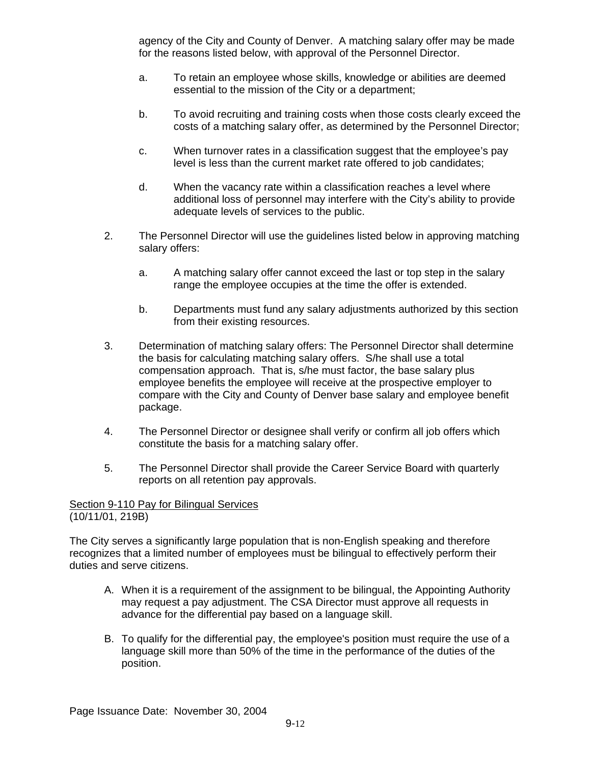agency of the City and County of Denver. A matching salary offer may be made for the reasons listed below, with approval of the Personnel Director.

- a. To retain an employee whose skills, knowledge or abilities are deemed essential to the mission of the City or a department;
- b. To avoid recruiting and training costs when those costs clearly exceed the costs of a matching salary offer, as determined by the Personnel Director;
- c. When turnover rates in a classification suggest that the employee's pay level is less than the current market rate offered to job candidates;
- d. When the vacancy rate within a classification reaches a level where additional loss of personnel may interfere with the City's ability to provide adequate levels of services to the public.
- 2. The Personnel Director will use the guidelines listed below in approving matching salary offers:
	- a. A matching salary offer cannot exceed the last or top step in the salary range the employee occupies at the time the offer is extended.
	- b. Departments must fund any salary adjustments authorized by this section from their existing resources.
- 3. Determination of matching salary offers: The Personnel Director shall determine the basis for calculating matching salary offers. S/he shall use a total compensation approach. That is, s/he must factor, the base salary plus employee benefits the employee will receive at the prospective employer to compare with the City and County of Denver base salary and employee benefit package.
- 4. The Personnel Director or designee shall verify or confirm all job offers which constitute the basis for a matching salary offer.
- 5. The Personnel Director shall provide the Career Service Board with quarterly reports on all retention pay approvals.

Section 9-110 Pay for Bilingual Services (10/11/01, 219B)

The City serves a significantly large population that is non-English speaking and therefore recognizes that a limited number of employees must be bilingual to effectively perform their duties and serve citizens.

- A. When it is a requirement of the assignment to be bilingual, the Appointing Authority may request a pay adjustment. The CSA Director must approve all requests in advance for the differential pay based on a language skill.
- B. To qualify for the differential pay, the employee's position must require the use of a language skill more than 50% of the time in the performance of the duties of the position.